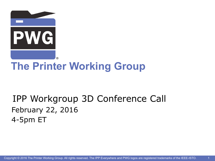

## **The Printer Working Group**

## IPP Workgroup 3D Conference Call February 22, 2016 4-5pm ET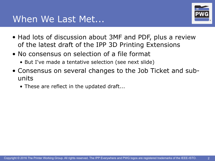

- Had lots of discussion about 3MF and PDF, plus a review of the latest draft of the IPP 3D Printing Extensions
- No consensus on selection of a file format
	- But I've made a tentative selection (see next slide)
- Consensus on several changes to the Job Ticket and subunits
	- These are reflect in the updated draft...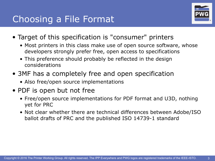

- Target of this specification is "consumer" printers
	- Most printers in this class make use of open source software, whose developers strongly prefer free, open access to specifications
	- This preference should probably be reflected in the design considerations
- 3MF has a completely free and open specification
	- Also free/open source implementations
- PDF is open but not free
	- Free/open source implementations for PDF format and U3D, nothing yet for PRC
	- Not clear whether there are technical differences between Adobe/ISO ballot drafts of PRC and the published ISO 14739-1 standard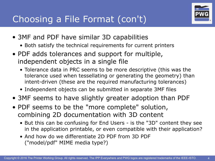

- 3MF and PDF have similar 3D capabilities
	- Both satisfy the technical requirements for current printers
- PDF adds tolerances and support for multiple, independent objects in a single file
	- Tolerance data in PRC seems to be more descriptive (this was the tolerance used when tessellating or generating the geometry) than intent-driven (these are the required manufacturing tolerances)
	- Independent objects can be submitted in separate 3MF files
- 3MF seems to have slightly greater adoption than PDF
- PDF seems to be the "more complete" solution, combining 2D documentation with 3D content
	- But this can be confusing for End Users is the "3D" content they see in the application printable, or even compatible with their application?
	- And how do we differentiate 2D PDF from 3D PDF ("model/pdf" MIME media type?)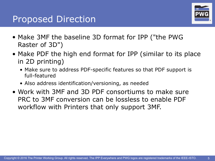## Proposed Direction



- Make 3MF the baseline 3D format for IPP ("the PWG Raster of 3D")
- Make PDF the high end format for IPP (similar to its place in 2D printing)
	- Make sure to address PDF-specific features so that PDF support is full-featured
	- Also address identification/versioning, as needed
- Work with 3MF and 3D PDF consortiums to make sure PRC to 3MF conversion can be lossless to enable PDF workflow with Printers that only support 3MF.